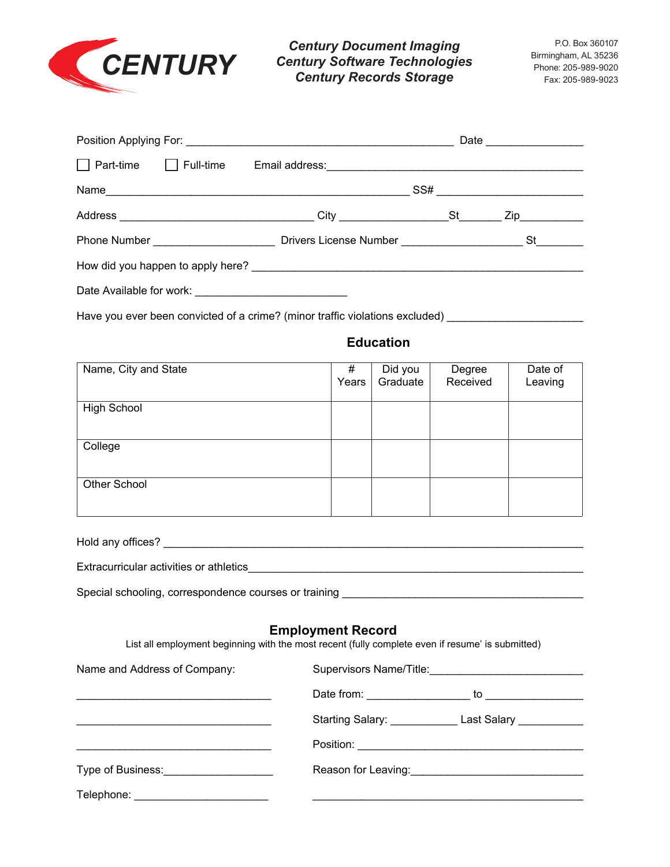

**CENTURY** Century Software Technologies<br>Century Records Storage Eax: 205-989-9020<br>Fax: 205-989-9023 *Century Document Imaging Century Records Storage*

|  |  | Part-time Full-time Email address:<br>Fig. 2. Email address: Contact Part-time Full-time Email address: Contact Part- |  |                                                                                                                                                                                                                                                                                                                                                                                                                                                                                       |  |
|--|--|-----------------------------------------------------------------------------------------------------------------------|--|---------------------------------------------------------------------------------------------------------------------------------------------------------------------------------------------------------------------------------------------------------------------------------------------------------------------------------------------------------------------------------------------------------------------------------------------------------------------------------------|--|
|  |  |                                                                                                                       |  | $SS# \begin{tabular}{@{}c@{}} \hline \multicolumn{3}{c}{} & \multicolumn{3}{c}{} & \multicolumn{3}{c}{} & \multicolumn{3}{c}{} \\ \multicolumn{3}{c}{} & \multicolumn{3}{c}{} & \multicolumn{3}{c}{} & \multicolumn{3}{c}{} \\ \multicolumn{3}{c}{} & \multicolumn{3}{c}{} & \multicolumn{3}{c}{} & \multicolumn{3}{c}{} \\ \multicolumn{3}{c}{} & \multicolumn{3}{c}{} & \multicolumn{3}{c}{} & \multicolumn{3}{c}{} \\ \multicolumn{3}{c}{} & \multicolumn{3}{c}{} & \multicolumn{$ |  |
|  |  | Address _________________________________City _____________________St_________Zip__________________                   |  |                                                                                                                                                                                                                                                                                                                                                                                                                                                                                       |  |
|  |  |                                                                                                                       |  |                                                                                                                                                                                                                                                                                                                                                                                                                                                                                       |  |
|  |  |                                                                                                                       |  |                                                                                                                                                                                                                                                                                                                                                                                                                                                                                       |  |
|  |  |                                                                                                                       |  |                                                                                                                                                                                                                                                                                                                                                                                                                                                                                       |  |

Have you ever been convicted of a crime? (minor traffic violations excluded) \_\_\_\_\_\_\_\_\_\_\_\_\_\_\_\_\_\_\_\_\_\_

## **Education**

 $E_{\rm eff}$  activities or athletics or athletics or athletics or athletics or athletics of  $\sim$ 

| Name, City and State | #<br>Years | Did you<br>Graduate | Degree<br>Received | Date of<br>Leaving |
|----------------------|------------|---------------------|--------------------|--------------------|
| <b>High School</b>   |            |                     |                    |                    |
| College              |            |                     |                    |                    |
| Other School         |            |                     |                    |                    |

| Extracurricular activities or athletics |  |  |  |
|-----------------------------------------|--|--|--|
|-----------------------------------------|--|--|--|

Special schooling, correspondence courses or training \_\_\_\_\_\_\_\_\_\_\_\_\_\_\_\_\_\_\_\_\_\_\_\_\_\_\_\_\_\_\_\_\_\_\_\_\_\_\_\_

## **Employment Record**

List all employment beginning with the most recent (fully complete even if resume' is submitted)

| Name and Address of Company:             |  |  |  |  |
|------------------------------------------|--|--|--|--|
|                                          |  |  |  |  |
|                                          |  |  |  |  |
|                                          |  |  |  |  |
| Type of Business: Type of Business:      |  |  |  |  |
| Telephone: _____________________________ |  |  |  |  |